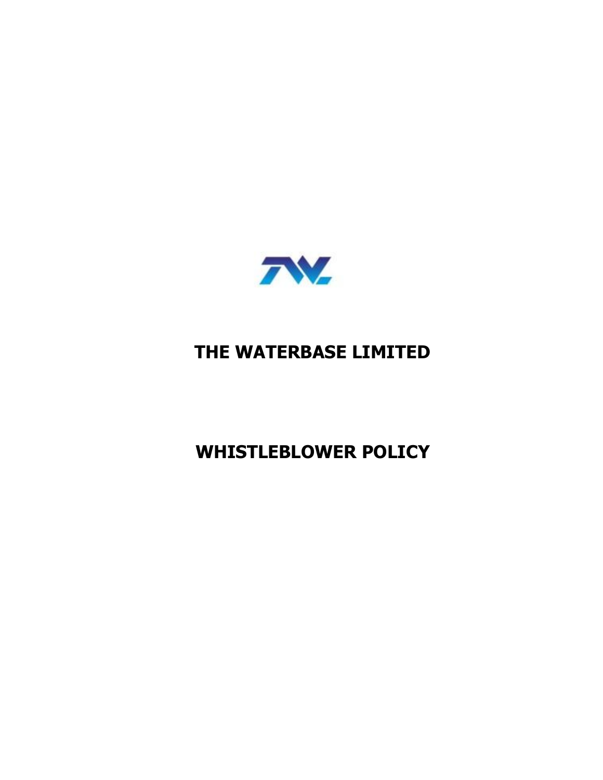

# **THE WATERBASE LIMITED**

**WHISTLEBLOWER POLICY**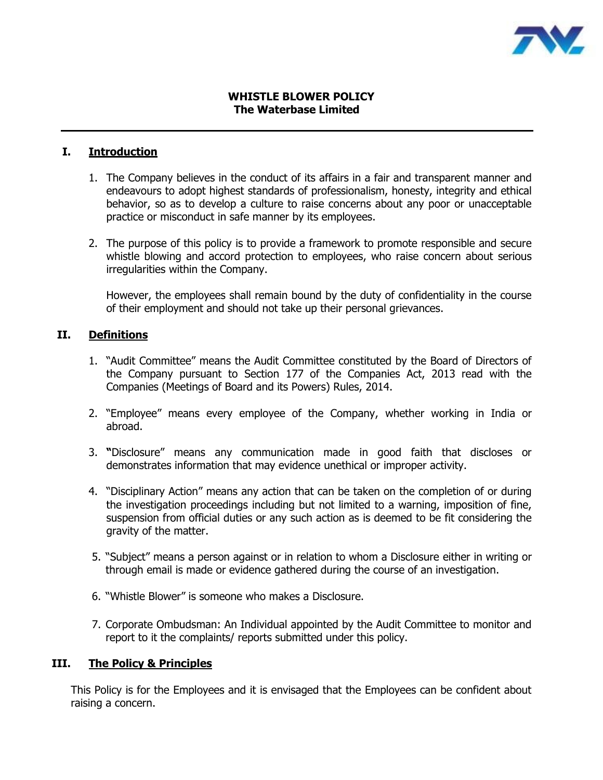

# **WHISTLE BLOWER POLICY The Waterbase Limited**

# **I. Introduction**

- 1. The Company believes in the conduct of its affairs in a fair and transparent manner and endeavours to adopt highest standards of professionalism, honesty, integrity and ethical behavior, so as to develop a culture to raise concerns about any poor or unacceptable practice or misconduct in safe manner by its employees.
- 2. The purpose of this policy is to provide a framework to promote responsible and secure whistle blowing and accord protection to employees, who raise concern about serious irregularities within the Company.

However, the employees shall remain bound by the duty of confidentiality in the course of their employment and should not take up their personal grievances.

# **II. Definitions**

- 1. "Audit Committee" means the Audit Committee constituted by the Board of Directors of the Company pursuant to Section 177 of the Companies Act, 2013 read with the Companies (Meetings of Board and its Powers) Rules, 2014.
- 2. "Employee" means every employee of the Company, whether working in India or abroad.
- 3. **"**Disclosure" means any communication made in good faith that discloses or demonstrates information that may evidence unethical or improper activity.
- 4. "Disciplinary Action" means any action that can be taken on the completion of or during the investigation proceedings including but not limited to a warning, imposition of fine, suspension from official duties or any such action as is deemed to be fit considering the gravity of the matter.
- 5. "Subject" means a person against or in relation to whom a Disclosure either in writing or through email is made or evidence gathered during the course of an investigation.
- 6. "Whistle Blower" is someone who makes a Disclosure.
- 7. Corporate Ombudsman: An Individual appointed by the Audit Committee to monitor and report to it the complaints/ reports submitted under this policy.

# **III. The Policy & Principles**

This Policy is for the Employees and it is envisaged that the Employees can be confident about raising a concern.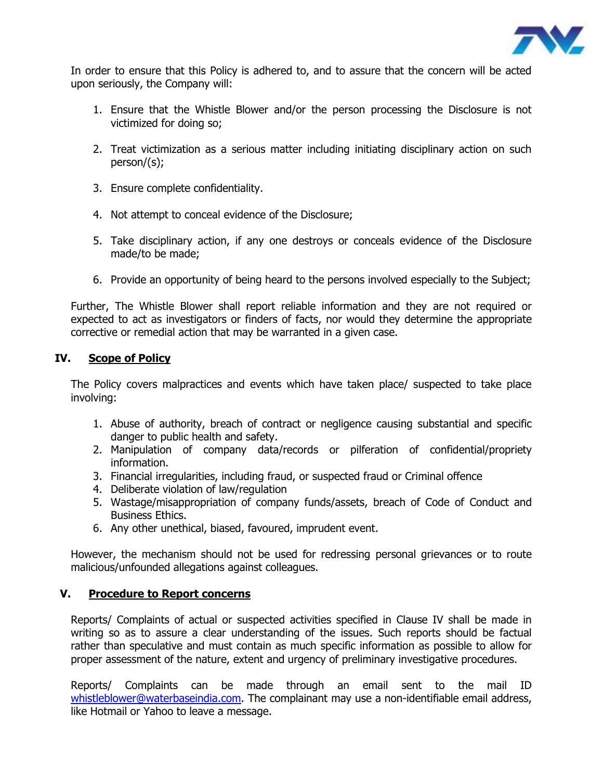

In order to ensure that this Policy is adhered to, and to assure that the concern will be acted upon seriously, the Company will:

- 1. Ensure that the Whistle Blower and/or the person processing the Disclosure is not victimized for doing so;
- 2. Treat victimization as a serious matter including initiating disciplinary action on such person/(s);
- 3. Ensure complete confidentiality.
- 4. Not attempt to conceal evidence of the Disclosure;
- 5. Take disciplinary action, if any one destroys or conceals evidence of the Disclosure made/to be made;
- 6. Provide an opportunity of being heard to the persons involved especially to the Subject;

Further, The Whistle Blower shall report reliable information and they are not required or expected to act as investigators or finders of facts, nor would they determine the appropriate corrective or remedial action that may be warranted in a given case.

# **IV. Scope of Policy**

The Policy covers malpractices and events which have taken place/ suspected to take place involving:

- 1. Abuse of authority, breach of contract or negligence causing substantial and specific danger to public health and safety.
- 2. Manipulation of company data/records or pilferation of confidential/propriety information.
- 3. Financial irregularities, including fraud, or suspected fraud or Criminal offence
- 4. Deliberate violation of law/regulation
- 5. Wastage/misappropriation of company funds/assets, breach of Code of Conduct and Business Ethics.
- 6. Any other unethical, biased, favoured, imprudent event.

However, the mechanism should not be used for redressing personal grievances or to route malicious/unfounded allegations against colleagues.

# **V. Procedure to Report concerns**

Reports/ Complaints of actual or suspected activities specified in Clause IV shall be made in writing so as to assure a clear understanding of the issues. Such reports should be factual rather than speculative and must contain as much specific information as possible to allow for proper assessment of the nature, extent and urgency of preliminary investigative procedures.

Reports/ Complaints can be made through an email sent to the mail ID [whistleblower@waterbaseindia.com.](mailto:whistleblower@waterbaseindia.com) The complainant may use a non-identifiable email address, like Hotmail or Yahoo to leave a message.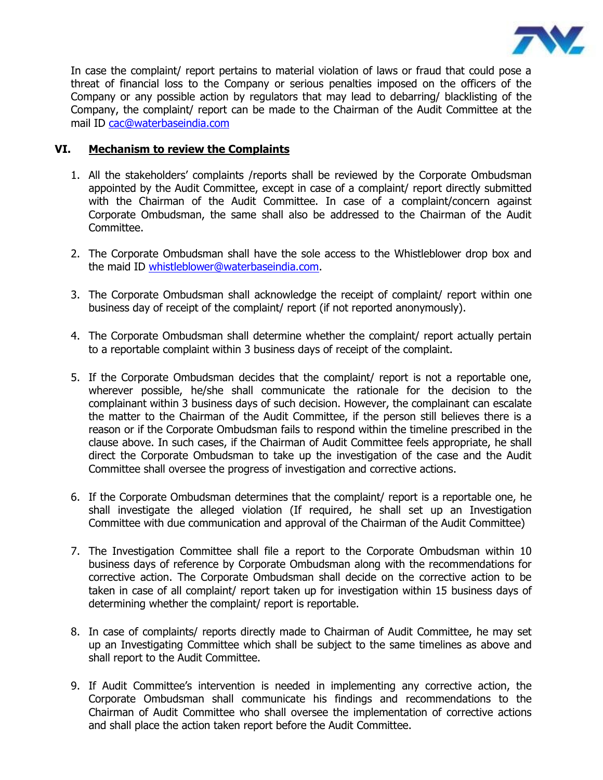

In case the complaint/ report pertains to material violation of laws or fraud that could pose a threat of financial loss to the Company or serious penalties imposed on the officers of the Company or any possible action by regulators that may lead to debarring/ blacklisting of the Company, the complaint/ report can be made to the Chairman of the Audit Committee at the mail ID [cac@waterbaseindia.com](mailto:cac@waterbaseindia.com)

# **VI. Mechanism to review the Complaints**

- 1. All the stakeholders' complaints /reports shall be reviewed by the Corporate Ombudsman appointed by the Audit Committee, except in case of a complaint/ report directly submitted with the Chairman of the Audit Committee. In case of a complaint/concern against Corporate Ombudsman, the same shall also be addressed to the Chairman of the Audit Committee.
- 2. The Corporate Ombudsman shall have the sole access to the Whistleblower drop box and the maid ID [whistleblower@waterbaseindia.com.](mailto:whistleblower@waterbaseindia.com)
- 3. The Corporate Ombudsman shall acknowledge the receipt of complaint/ report within one business day of receipt of the complaint/ report (if not reported anonymously).
- 4. The Corporate Ombudsman shall determine whether the complaint/ report actually pertain to a reportable complaint within 3 business days of receipt of the complaint.
- 5. If the Corporate Ombudsman decides that the complaint/ report is not a reportable one, wherever possible, he/she shall communicate the rationale for the decision to the complainant within 3 business days of such decision. However, the complainant can escalate the matter to the Chairman of the Audit Committee, if the person still believes there is a reason or if the Corporate Ombudsman fails to respond within the timeline prescribed in the clause above. In such cases, if the Chairman of Audit Committee feels appropriate, he shall direct the Corporate Ombudsman to take up the investigation of the case and the Audit Committee shall oversee the progress of investigation and corrective actions.
- 6. If the Corporate Ombudsman determines that the complaint/ report is a reportable one, he shall investigate the alleged violation (If required, he shall set up an Investigation Committee with due communication and approval of the Chairman of the Audit Committee)
- 7. The Investigation Committee shall file a report to the Corporate Ombudsman within 10 business days of reference by Corporate Ombudsman along with the recommendations for corrective action. The Corporate Ombudsman shall decide on the corrective action to be taken in case of all complaint/ report taken up for investigation within 15 business days of determining whether the complaint/ report is reportable.
- 8. In case of complaints/ reports directly made to Chairman of Audit Committee, he may set up an Investigating Committee which shall be subject to the same timelines as above and shall report to the Audit Committee.
- 9. If Audit Committee's intervention is needed in implementing any corrective action, the Corporate Ombudsman shall communicate his findings and recommendations to the Chairman of Audit Committee who shall oversee the implementation of corrective actions and shall place the action taken report before the Audit Committee.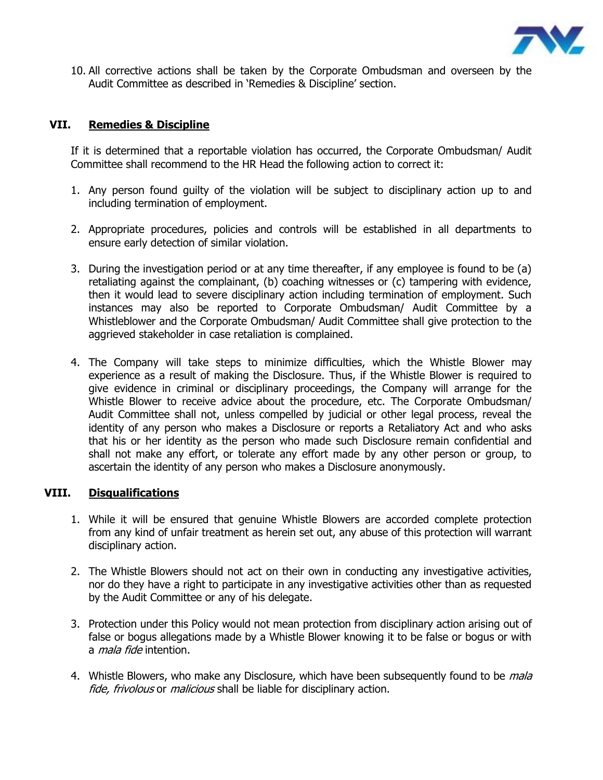

10. All corrective actions shall be taken by the Corporate Ombudsman and overseen by the Audit Committee as described in 'Remedies & Discipline' section.

# **VII. Remedies & Discipline**

If it is determined that a reportable violation has occurred, the Corporate Ombudsman/ Audit Committee shall recommend to the HR Head the following action to correct it:

- 1. Any person found guilty of the violation will be subject to disciplinary action up to and including termination of employment.
- 2. Appropriate procedures, policies and controls will be established in all departments to ensure early detection of similar violation.
- 3. During the investigation period or at any time thereafter, if any employee is found to be (a) retaliating against the complainant, (b) coaching witnesses or (c) tampering with evidence, then it would lead to severe disciplinary action including termination of employment. Such instances may also be reported to Corporate Ombudsman/ Audit Committee by a Whistleblower and the Corporate Ombudsman/ Audit Committee shall give protection to the aggrieved stakeholder in case retaliation is complained.
- 4. The Company will take steps to minimize difficulties, which the Whistle Blower may experience as a result of making the Disclosure. Thus, if the Whistle Blower is required to give evidence in criminal or disciplinary proceedings, the Company will arrange for the Whistle Blower to receive advice about the procedure, etc. The Corporate Ombudsman/ Audit Committee shall not, unless compelled by judicial or other legal process, reveal the identity of any person who makes a Disclosure or reports a Retaliatory Act and who asks that his or her identity as the person who made such Disclosure remain confidential and shall not make any effort, or tolerate any effort made by any other person or group, to ascertain the identity of any person who makes a Disclosure anonymously.

# **VIII. Disqualifications**

- 1. While it will be ensured that genuine Whistle Blowers are accorded complete protection from any kind of unfair treatment as herein set out, any abuse of this protection will warrant disciplinary action.
- 2. The Whistle Blowers should not act on their own in conducting any investigative activities, nor do they have a right to participate in any investigative activities other than as requested by the Audit Committee or any of his delegate.
- 3. Protection under this Policy would not mean protection from disciplinary action arising out of false or bogus allegations made by a Whistle Blower knowing it to be false or bogus or with a *mala fide* intention.
- 4. Whistle Blowers, who make any Disclosure, which have been subsequently found to be *mala* fide, frivolous or *malicious* shall be liable for disciplinary action.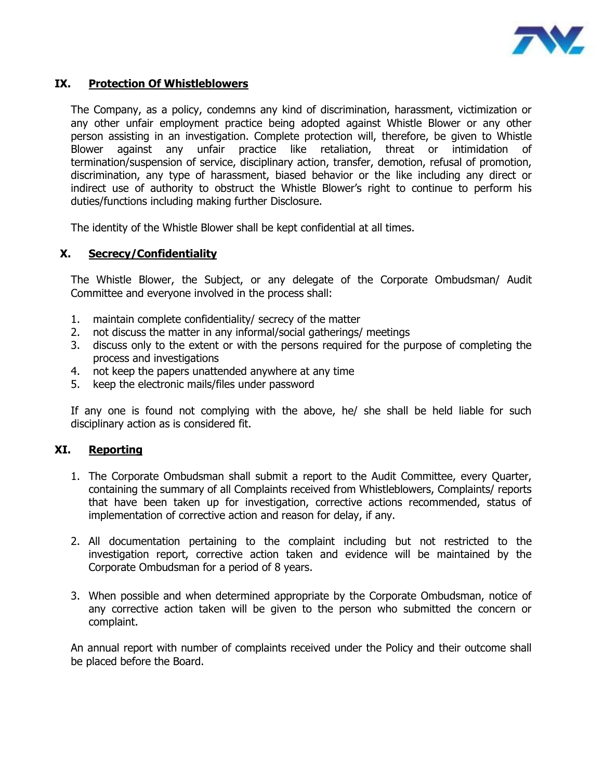

# **IX. Protection Of Whistleblowers**

The Company, as a policy, condemns any kind of discrimination, harassment, victimization or any other unfair employment practice being adopted against Whistle Blower or any other person assisting in an investigation. Complete protection will, therefore, be given to Whistle Blower against any unfair practice like retaliation, threat or intimidation of termination/suspension of service, disciplinary action, transfer, demotion, refusal of promotion, discrimination, any type of harassment, biased behavior or the like including any direct or indirect use of authority to obstruct the Whistle Blower's right to continue to perform his duties/functions including making further Disclosure.

The identity of the Whistle Blower shall be kept confidential at all times.

# **X. Secrecy/Confidentiality**

The Whistle Blower, the Subject, or any delegate of the Corporate Ombudsman/ Audit Committee and everyone involved in the process shall:

- 1. maintain complete confidentiality/ secrecy of the matter
- 2. not discuss the matter in any informal/social gatherings/ meetings
- 3. discuss only to the extent or with the persons required for the purpose of completing the process and investigations
- 4. not keep the papers unattended anywhere at any time
- 5. keep the electronic mails/files under password

If any one is found not complying with the above, he/ she shall be held liable for such disciplinary action as is considered fit.

#### **XI. Reporting**

- 1. The Corporate Ombudsman shall submit a report to the Audit Committee, every Quarter, containing the summary of all Complaints received from Whistleblowers, Complaints/ reports that have been taken up for investigation, corrective actions recommended, status of implementation of corrective action and reason for delay, if any.
- 2. All documentation pertaining to the complaint including but not restricted to the investigation report, corrective action taken and evidence will be maintained by the Corporate Ombudsman for a period of 8 years.
- 3. When possible and when determined appropriate by the Corporate Ombudsman, notice of any corrective action taken will be given to the person who submitted the concern or complaint.

An annual report with number of complaints received under the Policy and their outcome shall be placed before the Board.